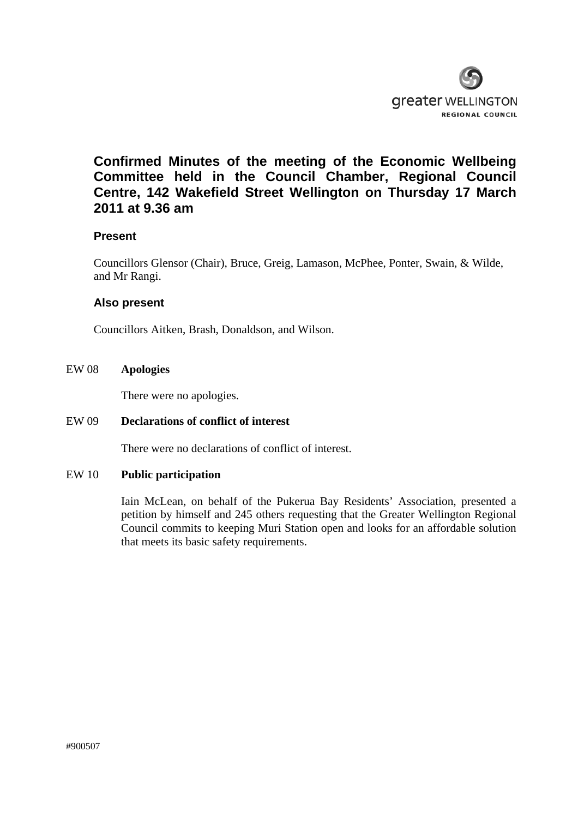

# **Confirmed Minutes of the meeting of the Economic Wellbeing Committee held in the Council Chamber, Regional Council Centre, 142 Wakefield Street Wellington on Thursday 17 March 2011 at 9.36 am**

# **Present**

Councillors Glensor (Chair), Bruce, Greig, Lamason, McPhee, Ponter, Swain, & Wilde, and Mr Rangi.

# **Also present**

Councillors Aitken, Brash, Donaldson, and Wilson.

### EW 08 **Apologies**

There were no apologies.

#### EW 09 **Declarations of conflict of interest**

There were no declarations of conflict of interest.

#### EW 10 **Public participation**

Iain McLean, on behalf of the Pukerua Bay Residents' Association, presented a petition by himself and 245 others requesting that the Greater Wellington Regional Council commits to keeping Muri Station open and looks for an affordable solution that meets its basic safety requirements.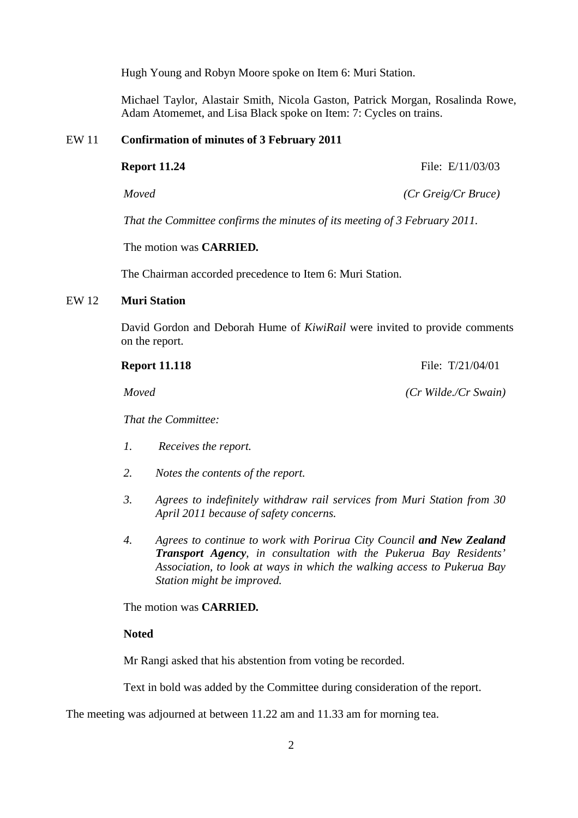Hugh Young and Robyn Moore spoke on Item 6: Muri Station.

Michael Taylor, Alastair Smith, Nicola Gaston, Patrick Morgan, Rosalinda Rowe, Adam Atomemet, and Lisa Black spoke on Item: 7: Cycles on trains.

#### EW 11 **Confirmation of minutes of 3 February 2011**

**Report 11.24** File: E/11/03/03

*Moved (Cr Greig/Cr Bruce)* 

*That the Committee confirms the minutes of its meeting of 3 February 2011.* 

The motion was **CARRIED***.*

The Chairman accorded precedence to Item 6: Muri Station.

#### EW 12 **Muri Station**

David Gordon and Deborah Hume of *KiwiRail* were invited to provide comments on the report.

**Report 11.118** File: T/21/04/01

*Moved (Cr Wilde./Cr Swain)*

*That the Committee:* 

- *1. Receives the report.*
- *2. Notes the contents of the report.*
- *3. Agrees to indefinitely withdraw rail services from Muri Station from 30 April 2011 because of safety concerns.*
- *4. Agrees to continue to work with Porirua City Council and New Zealand Transport Agency, in consultation with the Pukerua Bay Residents' Association, to look at ways in which the walking access to Pukerua Bay Station might be improved.*

The motion was **CARRIED***.*

# **Noted**

Mr Rangi asked that his abstention from voting be recorded.

Text in bold was added by the Committee during consideration of the report.

The meeting was adjourned at between 11.22 am and 11.33 am for morning tea.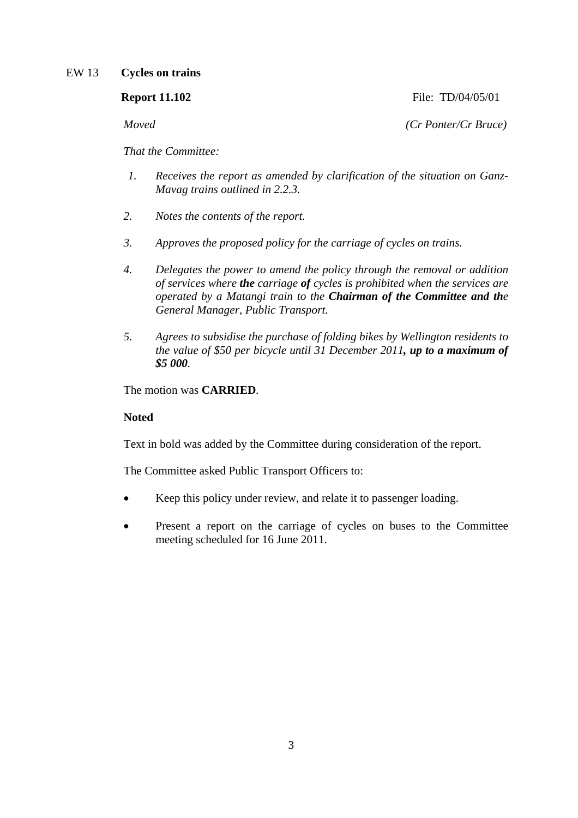# EW 13 **Cycles on trains**

| <b>Report 11.102</b> | File: TD/04/05/01         |
|----------------------|---------------------------|
| Moved                | $(Cr$ Ponter/ $Cr$ Bruce) |

*That the Committee:* 

- *1. Receives the report as amended by clarification of the situation on Ganz-Mavag trains outlined in 2.2.3.*
- *2. Notes the contents of the report.*
- *3. Approves the proposed policy for the carriage of cycles on trains.*
- *4. Delegates the power to amend the policy through the removal or addition of services where the carriage of cycles is prohibited when the services are operated by a Matangi train to the Chairman of the Committee and the General Manager, Public Transport.*
- *5. Agrees to subsidise the purchase of folding bikes by Wellington residents to the value of \$50 per bicycle until 31 December 2011, up to a maximum of \$5 000.*

The motion was **CARRIED***.* 

# **Noted**

Text in bold was added by the Committee during consideration of the report.

The Committee asked Public Transport Officers to:

- Keep this policy under review, and relate it to passenger loading.
- Present a report on the carriage of cycles on buses to the Committee meeting scheduled for 16 June 2011.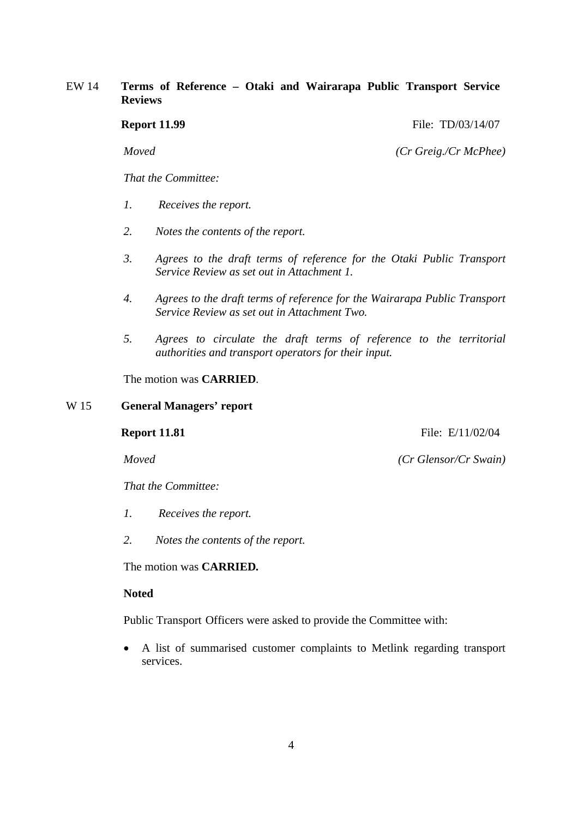# EW 14 **Terms of Reference – Otaki and Wairarapa Public Transport Service Reviews**

**Report 11.99** File: TD/03/14/07

*Moved (Cr Greig./Cr McPhee)*

*That the Committee:* 

- *1. Receives the report.*
- *2. Notes the contents of the report.*
- *3. Agrees to the draft terms of reference for the Otaki Public Transport Service Review as set out in Attachment 1.*
- *4. Agrees to the draft terms of reference for the Wairarapa Public Transport Service Review as set out in Attachment Two.*
- *5. Agrees to circulate the draft terms of reference to the territorial authorities and transport operators for their input.*

The motion was **CARRIED***.* 

#### W 15 **General Managers' report**

**Report 11.81** File: E/11/02/04

*Moved (Cr Glensor/Cr Swain)*

*That the Committee:* 

- *1. Receives the report.*
- *2. Notes the contents of the report.*

The motion was **CARRIED***.*

### **Noted**

Public Transport Officers were asked to provide the Committee with:

• A list of summarised customer complaints to Metlink regarding transport services.